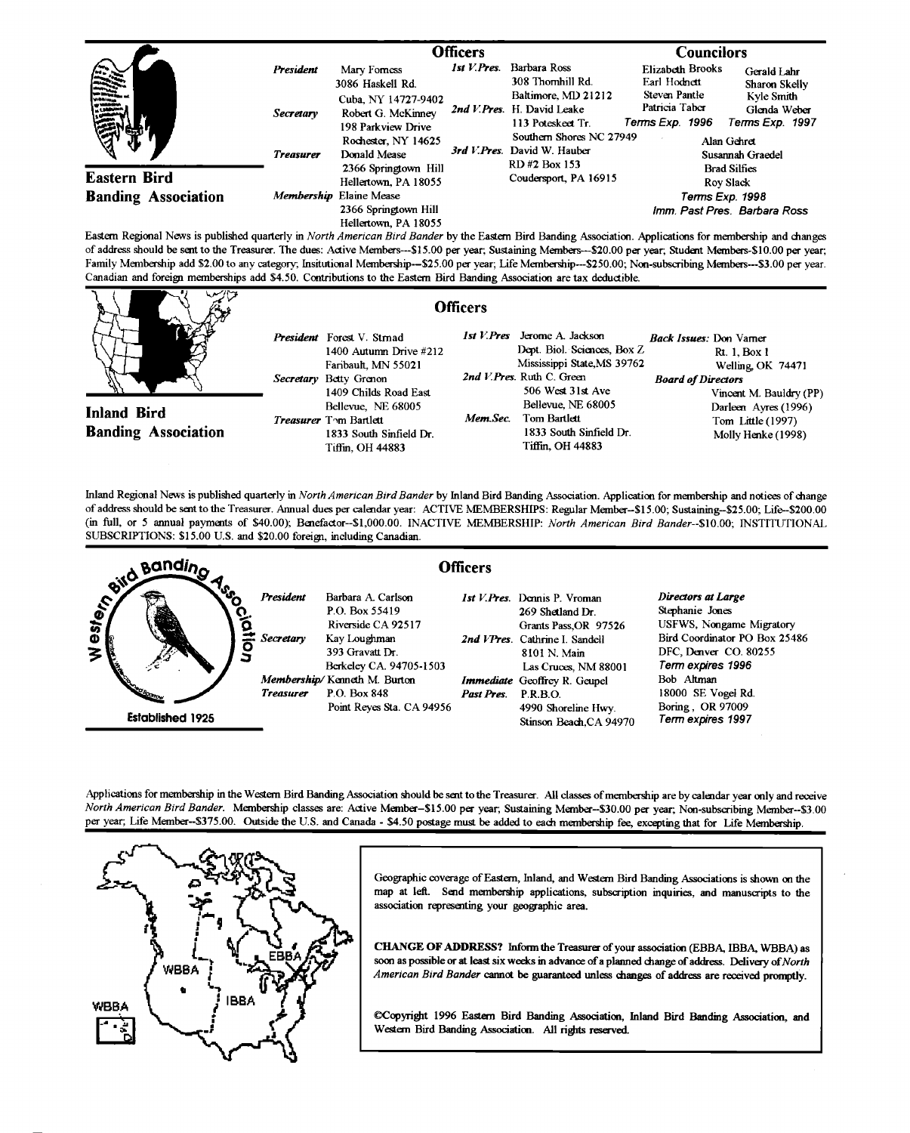|                                  | <b>Officers</b>  |                                                                         |  | <b>Councilors</b>                                                        |                                                        |                                                 |
|----------------------------------|------------------|-------------------------------------------------------------------------|--|--------------------------------------------------------------------------|--------------------------------------------------------|-------------------------------------------------|
| <b>Service</b><br><b>CARD IN</b> | President        | Mary Forness<br>3086 Haskell Rd.                                        |  | Barbara Ross<br>308 Thornhill Rd.                                        | Elizabeth Brooks<br>Earl Hodnett                       | Gerald Lahr<br>Sharon Skelly                    |
|                                  | <b>Secretary</b> | Cuba, NY 14727-9402<br>Robert G. McKinney<br>198 Parkview Drive         |  | Baltimore, MD 21212<br>2nd V. Pres. H. David Leake<br>113 Poteskeet Tr.  | Steven Pantle<br>Patricia Taber<br>Terms Exp. 1996     | Kyle Smith<br>Glenda Weber<br>Terms Exp. 1997   |
|                                  | <b>Treasurer</b> | Rochester, NY 14625<br>Donald Mease<br>2366 Springtown Hill             |  | Southern Shores NC 27949<br>3rd V. Pres. David W. Hauber<br>RD#2 Box 153 | Alan Gehret<br>Susannah Graedel<br><b>Brad Silfies</b> |                                                 |
| <b>Eastern Bird</b>              |                  | Hellertown, PA 18055                                                    |  | Coudersport, PA 16915                                                    |                                                        | Rov Slack                                       |
| <b>Banding Association</b>       |                  | Membership Elaine Mease<br>2366 Springtown Hill<br>Hellertown, PA 18055 |  |                                                                          |                                                        | Terms Exp. 1998<br>Imm. Past Pres. Barbara Ross |

**Eastern Regional News is published quarterly in North American Bird Bander by the Eastern Bird Banding Association. Applications for membership and changes**  of address should be sent to the Treasurer. The dues: Active Members---\$15.00 per year; Sustaining Members---\$20.00 per year; Student Members-\$10.00 per year; **Family Membership add \$2.00 to any category; Insittrtional Membership--S25.00 per year; Life Membership---S250.00; Non-subscribing Members---S3.00 per year.**  Canadian and foreign memberships add \$4.50. Contributions to the Eastern Bird Banding Association are tax deductible.

| マンワ                                              | <b>Officers</b>                                                                                                                                     |                                                                                                                                                                                               |                                                                                                                                                   |
|--------------------------------------------------|-----------------------------------------------------------------------------------------------------------------------------------------------------|-----------------------------------------------------------------------------------------------------------------------------------------------------------------------------------------------|---------------------------------------------------------------------------------------------------------------------------------------------------|
| <b>Inland Bird</b><br><b>Banding Association</b> | President Forest V. Stmad<br>1400 Autumn Drive #212<br>Faribault, MN 55021<br>Secretary Betty Grenon<br>1409 Childs Road East<br>Bellevue, NE 68005 | 1st V.Pres Jerome A. Jackson<br>Dept. Biol. Sciences, Box Z<br>Mississippi State MS 39762<br>2nd V.Pres. Ruth C. Green<br>506 West 31st Ave<br>Bellevue, NE 68005<br>Mem Sec.<br>Tom Bartlett | <i>Rack Issues:</i> Don Vamer<br>Rt. 1, Box 1<br>Welling OK 74471<br><b>Board of Directors</b><br>Vincent M. Bauldry (PP)<br>Darleen Ayres (1996) |
|                                                  | Treasurer Tom Bartlett<br>1833 South Sinfield Dr.<br>Tiffin, OH 44883                                                                               | 1833 South Sinfield Dr.<br>Tiffin. OH 44883                                                                                                                                                   | Tom Little (1997)<br>Molly Henke (1998)                                                                                                           |

**Inland Regional News is published quarterly in North American Bird Bander by Inland Bird Banding Association. Application for membemhip and notices of change of address should be sent to the Treasurer. Annual dues per calendar year: ACTIVE MEMBERSHIPS: Regular Member-S15.00; Sustaining-S25.00; Life--S200.00 (in full, or 5 annual payments of \$40.00); Benefactor--S1,000.00. INACTIVE MEMBERSHIP: North American Bird Bander--S10.00; INSTITUTIONAL**  SUBSCRIPTIONS: \$15.00 U.S. and \$20.00 foreign, including Canadian.



**Applications for membership in the Western Bird Banding Association should be sent to the Treasurer. All classes of membership are by calendar year only and receive North American Bird Bander. Membership classes are: Active Member-S15.00 per year, Sustaining Member--S30.00 per year, Non-subscribing Member--S3.00**  per year; Life Member--\$375.00. Outside the U.S. and Canada - \$4.50 postage must be added to each membership fee, excepting that for Life Membership.



**Geographic coverage of Eastern, Inland, and Western Bird Banding Associations is shown on the map at left. Send membership applications, subscription inquiries, and manuscripts to the association representing your geographic area.** 

CHANGE OF ADDRESS? Inform the Treasurer of your association (EBBA, IBBA, WBBA) as soon as possible or at least six weeks in advance of a planned change of address. Delivery of North American Bird Bander cannot be guaranteed unless changes of address are received promptly.

**•Copyright 1996 Eastern Bird Banding Association, Inland Bird Banding Association, and Western Bird Banding Association. All rights reserved.**